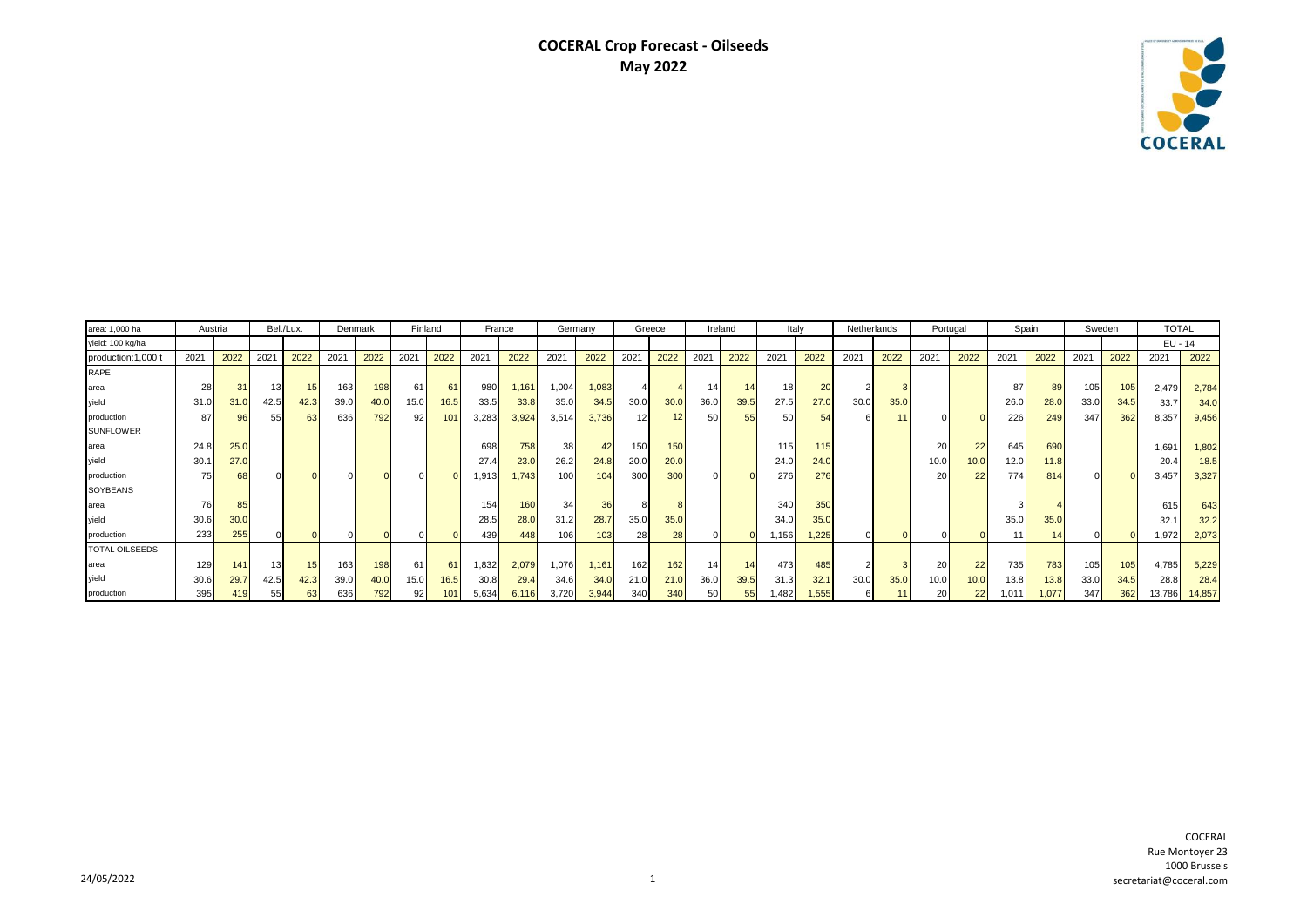## **COCERAL Crop Forecast - Oilseeds May 2022**



| area: 1,000 ha        | Austria |      |                 |                 | Bel./Lux.<br>Denmark |      | Finland |      | France |       | Germany |       | Greece |      | Ireland |      | Italy |                 | Netherlands    |      | Portugal  |      | Spain |       | Sweden |      | <b>TOTAL</b>          |        |
|-----------------------|---------|------|-----------------|-----------------|----------------------|------|---------|------|--------|-------|---------|-------|--------|------|---------|------|-------|-----------------|----------------|------|-----------|------|-------|-------|--------|------|-----------------------|--------|
| yield: 100 kg/ha      |         |      |                 |                 |                      |      |         |      |        |       |         |       |        |      |         |      |       |                 |                |      |           |      |       |       |        |      | EU - 14               |        |
| production:1,000      | 2021    | 2022 | 2021            | 2022            | $202 -$              | 2022 | 2021    | 2022 | 2021   | 2022  | 2021    | 2022  | 2021   | 2022 | 2021    | 2022 | 2021  | 2022            | 2021           | 2022 | 2021      | 2022 | 2021  | 2022  | 2021   | 2022 | 2021                  | 2022   |
| RAPE                  |         |      |                 |                 |                      |      |         |      |        |       |         |       |        |      |         |      |       |                 |                |      |           |      |       |       |        |      |                       |        |
| area                  | 28      | 31   | 13 <sub>1</sub> |                 | 163                  | 198  | 61      | 61   | 980    | 1,161 | 1,004   | ,083  |        |      | 14      | 14   | 18    | 20              | $2^{\mid}$     |      |           |      | 87    | 89    | 105    | 105  | 2,479                 | 2,784  |
| yield                 | 31.0    | 31.0 | 42.5            | 42.3            | 39.0                 | 40.0 | 15.0    | 16.5 | 33.5   | 33.8  | 35.0    | 34.5  | 30.0   | 30.0 | 36.0    | 39.5 | 27.5  | 27.0            | 30.0           | 35.0 |           |      | 26.0  | 28.0  | 33.0   | 34.5 | 33.7                  | 34.0   |
| production            | 87      | 96   | 55              | 63              | 636                  | 792  | 92      | 101  | 3,283  | 3,924 | 3,514   | 3,736 | 12     | 12   | 50      | 55   | 50    | 54              |                |      |           |      | 226   | 249   | 347    | 362  | 8,357                 | 9,456  |
| <b>SUNFLOWER</b>      |         |      |                 |                 |                      |      |         |      |        |       |         |       |        |      |         |      |       |                 |                |      |           |      |       |       |        |      |                       |        |
| area                  | 24.8    | 25.0 |                 |                 |                      |      |         |      | 698    | 758   | 38      |       | 150    | 150  |         |      | 115   | 115             |                |      | 20        | 22   | 645   | 690   |        |      | 1,691                 | 1,802  |
| vield                 | 30.1    | 27.0 |                 |                 |                      |      |         |      | 27.4   | 23.0  | 26.2    | 24.8  | 20.0   | 20.0 |         |      | 24.0  | 24.0            |                |      | 10.0      | 10.0 | 12.0  | 11.8  |        |      | 20.4                  | 18.5   |
| production            | 75      | 68   |                 |                 |                      |      |         |      | 1,913  | 1.743 | 100     | 104   | 300    | 300  |         |      | 276   | 276             |                |      | <b>20</b> | 22   | 774   | 814   |        |      | 3,457                 | 3,327  |
| SOYBEANS              |         |      |                 |                 |                      |      |         |      |        |       |         |       |        |      |         |      |       |                 |                |      |           |      |       |       |        |      |                       |        |
| area                  |         | 85   |                 |                 |                      |      |         |      | 154    | 160   | 34      | 36    |        |      |         |      | 340   | 35 <sub>0</sub> |                |      |           |      |       |       |        |      | 615                   | 643    |
| vield                 | 30.6    | 30.0 |                 |                 |                      |      |         |      | 28.5   | 28.0  | 31.2    | 28.7  | 35.0   | 35.0 |         |      | 34.0  | 35.0            |                |      |           |      | 35.0  | 35.0  |        |      | 32.1                  | 32.2   |
| production            | 233     | 255  |                 |                 |                      |      |         |      | 439    | 448   | 106     | 103   | 28     | 28   |         |      | 1,156 | 1,225           |                |      |           |      | 11    | 14    |        |      | 1,972                 | 2,073  |
| <b>TOTAL OILSEEDS</b> |         |      |                 |                 |                      |      |         |      |        |       |         |       |        |      |         |      |       |                 |                |      |           |      |       |       |        |      |                       |        |
| area                  | 129     | 141  | 13 <sub>1</sub> | 15 <sub>1</sub> | 163                  | 198  | 61      | 61   | 1,832  | 2,079 | 1,076   | 1,161 | 162    | 162  | 14      | 14   | 473   | 485             | 2 <sup>1</sup> |      | 20        | 22   | 735   | 783   | 105    | 105  | 4,785                 | 5,229  |
| vield                 | 30.6    | 29.7 | 42.5            | 42.3            | 39.0                 | 40.0 | 15.0    | 16.5 | 30.8   | 29.4  | 34.6    | 34.0  | 21.0   | 21.0 | 36.0    | 39.5 | 31.3  | 32.1            | 30.0           | 35.0 | 10.0      | 10.0 | 13.8  | 13.8  | 33.0   | 34.5 | 28.8                  | 28.4   |
| production            | 395     | 419  | 55              |                 | 636                  | 792  | 92      | 101  | 5,634  | 6,116 | 3,720   | 3,944 | 340    | 340  | 50      |      | 1,482 | 1,555           |                |      | 20        | 22   | 1,011 | 1,077 | 347    | 362  | 13,786 <mark> </mark> | 14,857 |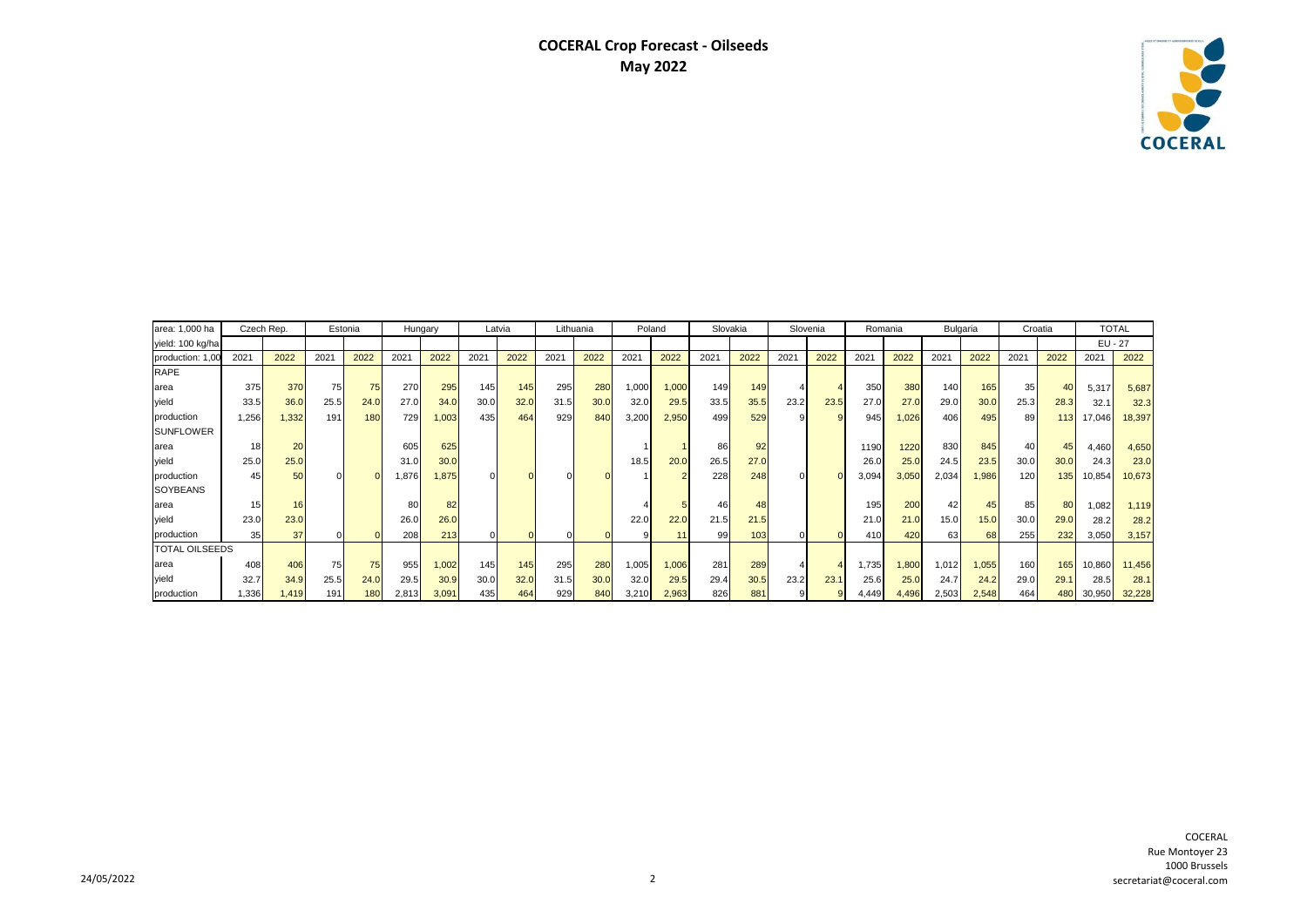## **COCERAL Crop Forecast - Oilseeds May 2022**



| area: 1,000 ha        | Czech Rep. |       | Estonia |      | Hungary |       | Latvia |      | Lithuania |      | Poland |       | Slovakia |      | Slovenia       |      | Romania |       | Bulgaria |       | Croatia         |      | <b>TOTAL</b> |        |
|-----------------------|------------|-------|---------|------|---------|-------|--------|------|-----------|------|--------|-------|----------|------|----------------|------|---------|-------|----------|-------|-----------------|------|--------------|--------|
| yield: 100 kg/ha      |            |       |         |      |         |       |        |      |           |      |        |       |          |      |                |      |         |       |          |       |                 |      | $EU - 27$    |        |
| production: 1,00      | 2021       | 2022  | 2021    | 2022 | 2021    | 2022  | 2021   | 2022 | 2021      | 2022 | 2021   | 2022  | 2021     | 2022 | 2021           | 2022 | 2021    | 2022  | 2021     | 2022  | 2021            | 2022 | 2021         | 2022   |
| <b>RAPE</b>           |            |       |         |      |         |       |        |      |           |      |        |       |          |      |                |      |         |       |          |       |                 |      |              |        |
| area                  | 375        | 370   | 75      | 75   | 270     | 295   | 145    | 145  | 295       | 280  | 000, ا | 1.000 | 149      | 149  | 4              |      | 350     | 380   | 140      | 165   | 35 <sub>1</sub> | 40   | 5,317        | 5,687  |
| yield                 | 33.5       | 36.0  | 25.5    | 24.0 | 27.0    | 34.0  | 30.0   | 32.0 | 31.5      | 30.0 | 32.0   | 29.5  | 33.5     | 35.5 | 23.2           | 23.5 | 27.0    | 27.0  | 29.0     | 30.0  | 25.3            | 28.3 | 32.1         | 32.3   |
| production            | 1,256      | .332  | 191     | 180  | 729     | 1,003 | 435    | 464  | 929       | 840  | 3,200  | 2,950 | 499      | 529  | 9              |      | 945     | 1.026 | 406      | 495   | 89              | 113  | 17,046       | 18,397 |
| <b>SUNFLOWER</b>      |            |       |         |      |         |       |        |      |           |      |        |       |          |      |                |      |         |       |          |       |                 |      |              |        |
| area                  | 18         | 20    |         |      | 605     | 625   |        |      |           |      |        |       | 86       | 92   |                |      | 1190    | 1220  | 830      | 845   | 40              | 45   | 4,460        | 4,650  |
| vield                 | 25.0       | 25.0  |         |      | 31.0    | 30.0  |        |      |           |      | 18.5   | 20.0  | 26.5     | 27.0 |                |      | 26.0    | 25.0  | 24.5     | 23.5  | 30.0            | 30.0 | 24.3         | 23.0   |
| production            | 45         | 50    |         |      | ,876    | 1,875 |        |      |           |      |        |       | 228      | 248  |                |      | 3,094   | 3,050 | 2,034    | 1,986 | 120             | 135  | 10,854       | 10,673 |
| <b>SOYBEANS</b>       |            |       |         |      |         |       |        |      |           |      |        |       |          |      |                |      |         |       |          |       |                 |      |              |        |
| area                  | 15         |       |         |      | 80      | 82    |        |      |           |      |        |       | 46       | 48   |                |      | 195     | 200   | 42       | 45    | 85              | 80   | 1.082        | 1,119  |
| yield                 | 23.0       | 23.0  |         |      | 26.0    | 26.0  |        |      |           |      | 22.0   | 22.0  | 21.5     | 21.5 |                |      | 21.0    | 21.0  | 15.0     | 15.0  | 30.0            | 29.0 | 28.2         | 28.2   |
| production            | 35         | 37    |         |      | 208     | 213   |        |      |           |      |        | 11    | 99       | 103  |                |      | 410     | 420   | 63       | 68    | 255             | 232  | 3,050        | 3,157  |
| <b>TOTAL OILSEEDS</b> |            |       |         |      |         |       |        |      |           |      |        |       |          |      |                |      |         |       |          |       |                 |      |              |        |
| area                  | 408        | 406   | 75      | 75   | 955     | 1,002 | 145    | 145  | 295       | 280  | 1,005  | 1,006 | 281      | 289  | $\overline{4}$ |      | 1,735   | 1,800 | 1,012    | 1,055 | 160             | 165  | 10,860       | 11,456 |
| yield                 | 32.7       | 34.9  | 25.5    | 24.0 | 29.5    | 30.9  | 30.0   | 32.0 | 31.5      | 30.0 | 32.0   | 29.5  | 29.4     | 30.5 | 23.2           | 23.1 | 25.6    | 25.0  | 24.7     | 24.2  | 29.0            | 29.1 | 28.5         | 28.1   |
| production            | 1,336      | 1.419 | 191     | 180  | 2,813   | 3,091 | 435    | 464  | 929       | 840  | 3,210  | 2,963 | 826      | 881  |                |      | 4.449   | 4,496 | 2,503    | 2,548 | 464             | 480  | 30,950       | 32,228 |